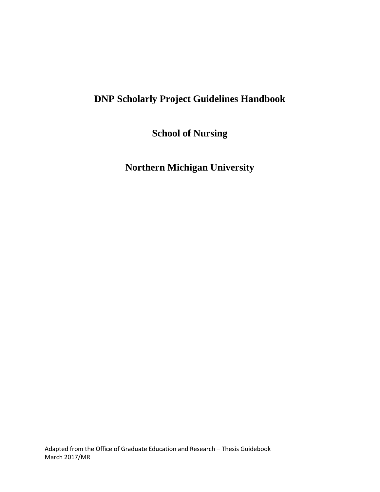# **DNP Scholarly Project Guidelines Handbook**

**School of Nursing**

**Northern Michigan University**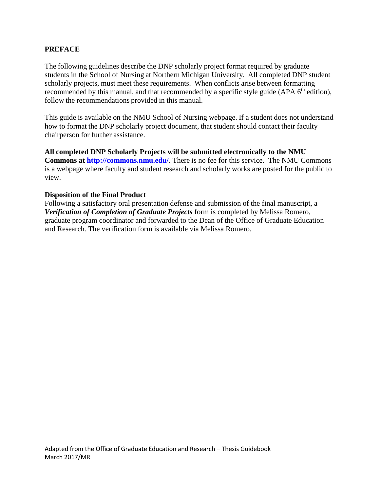# **PREFACE**

The following guidelines describe the DNP scholarly project format required by graduate students in the School of Nursing at Northern Michigan University. All completed DNP student scholarly projects, must meet these requirements. When conflicts arise between formatting recommended by this manual, and that recommended by a specific style guide (APA 6<sup>th</sup> edition), follow the recommendations provided in this manual.

This guide is available on the NMU School of Nursing webpage. If a student does not understand how to format the DNP scholarly project document, that student should contact their faculty chairperson for further assistance.

**All completed DNP Scholarly Projects will be submitted electronically to the NMU Commons at<http://commons.nmu.edu/>**. There is no fee for this service. The NMU Commons is a webpage where faculty and student research and scholarly works are posted for the public to view.

#### **Disposition of the Final Product**

Following a satisfactory oral presentation defense and submission of the final manuscript, a *Verification of Completion of Graduate Projects* form is completed by Melissa Romero, graduate program coordinator and forwarded to the Dean of the Office of Graduate Education and Research. The verification form is available via Melissa Romero.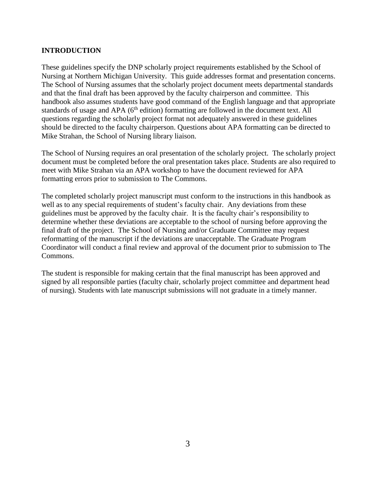# **INTRODUCTION**

These guidelines specify the DNP scholarly project requirements established by the School of Nursing at Northern Michigan University. This guide addresses format and presentation concerns. The School of Nursing assumes that the scholarly project document meets departmental standards and that the final draft has been approved by the faculty chairperson and committee. This handbook also assumes students have good command of the English language and that appropriate standards of usage and APA (6<sup>th</sup> edition) formatting are followed in the document text. All questions regarding the scholarly project format not adequately answered in these guidelines should be directed to the faculty chairperson. Questions about APA formatting can be directed to Mike Strahan, the School of Nursing library liaison.

The School of Nursing requires an oral presentation of the scholarly project. The scholarly project document must be completed before the oral presentation takes place. Students are also required to meet with Mike Strahan via an APA workshop to have the document reviewed for APA formatting errors prior to submission to The Commons.

The completed scholarly project manuscript must conform to the instructions in this handbook as well as to any special requirements of student's faculty chair. Any deviations from these guidelines must be approved by the faculty chair. It is the faculty chair's responsibility to determine whether these deviations are acceptable to the school of nursing before approving the final draft of the project. The School of Nursing and/or Graduate Committee may request reformatting of the manuscript if the deviations are unacceptable. The Graduate Program Coordinator will conduct a final review and approval of the document prior to submission to The Commons.

The student is responsible for making certain that the final manuscript has been approved and signed by all responsible parties (faculty chair, scholarly project committee and department head of nursing). Students with late manuscript submissions will not graduate in a timely manner.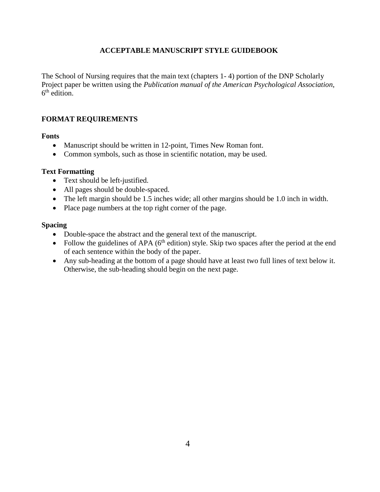# **ACCEPTABLE MANUSCRIPT STYLE GUIDEBOOK**

The School of Nursing requires that the main text (chapters 1- 4) portion of the DNP Scholarly Project paper be written using the *Publication manual of the American Psychological Association*, 6<sup>th</sup> edition.

# **FORMAT REQUIREMENTS**

#### **Fonts**

- Manuscript should be written in 12-point, Times New Roman font.
- Common symbols, such as those in scientific notation, may be used.

### **Text Formatting**

- Text should be left-justified.
- All pages should be double-spaced.
- The left margin should be 1.5 inches wide; all other margins should be 1.0 inch in width.
- Place page numbers at the top right corner of the page.

#### **Spacing**

- Double-space the abstract and the general text of the manuscript.
- Follow the guidelines of APA ( $6<sup>th</sup>$  edition) style. Skip two spaces after the period at the end of each sentence within the body of the paper.
- Any sub-heading at the bottom of a page should have at least two full lines of text below it. Otherwise, the sub-heading should begin on the next page.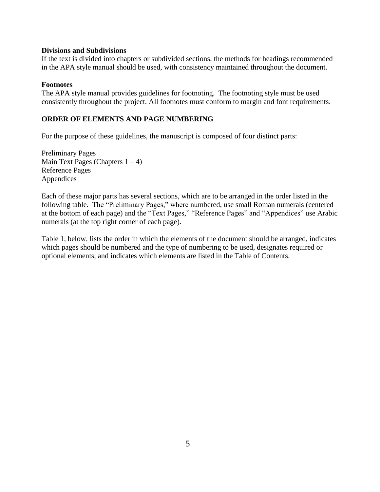#### **Divisions and Subdivisions**

If the text is divided into chapters or subdivided sections, the methods for headings recommended in the APA style manual should be used, with consistency maintained throughout the document.

#### **Footnotes**

The APA style manual provides guidelines for footnoting. The footnoting style must be used consistently throughout the project. All footnotes must conform to margin and font requirements.

# **ORDER OF ELEMENTS AND PAGE NUMBERING**

For the purpose of these guidelines, the manuscript is composed of four distinct parts:

Preliminary Pages Main Text Pages (Chapters  $1 - 4$ ) Reference Pages Appendices

Each of these major parts has several sections, which are to be arranged in the order listed in the following table. The "Preliminary Pages," where numbered, use small Roman numerals (centered at the bottom of each page) and the "Text Pages," "Reference Pages" and "Appendices" use Arabic numerals (at the top right corner of each page).

Table 1, below, lists the order in which the elements of the document should be arranged, indicates which pages should be numbered and the type of numbering to be used, designates required or optional elements, and indicates which elements are listed in the Table of Contents.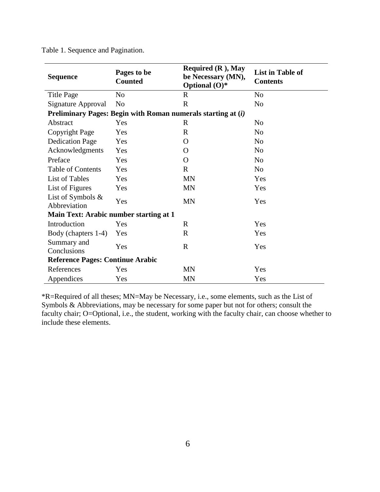| <b>Sequence</b>                                              | Pages to be<br><b>Counted</b> | Required $(R)$ , May<br>be Necessary (MN),<br>Optional $(O)^*$ | <b>List in Table of</b><br><b>Contents</b> |  |  |
|--------------------------------------------------------------|-------------------------------|----------------------------------------------------------------|--------------------------------------------|--|--|
| <b>Title Page</b>                                            | N <sub>o</sub>                | $\mathbb{R}$                                                   | N <sub>o</sub>                             |  |  |
| Signature Approval                                           | N <sub>0</sub>                | $\mathbb{R}$                                                   | N <sub>0</sub>                             |  |  |
| Preliminary Pages: Begin with Roman numerals starting at (i) |                               |                                                                |                                            |  |  |
| Abstract                                                     | Yes                           | $\mathbf R$                                                    | N <sub>o</sub>                             |  |  |
| Copyright Page                                               | Yes                           | $\mathbf R$                                                    | N <sub>o</sub>                             |  |  |
| <b>Dedication Page</b>                                       | Yes                           | O                                                              | N <sub>o</sub>                             |  |  |
| Acknowledgments                                              | Yes                           | O                                                              | N <sub>o</sub>                             |  |  |
| Preface                                                      | Yes                           | O                                                              | N <sub>o</sub>                             |  |  |
| <b>Table of Contents</b>                                     | Yes                           | $\mathbf{R}$                                                   | N <sub>o</sub>                             |  |  |
| List of Tables                                               | Yes                           | <b>MN</b>                                                      | Yes                                        |  |  |
| List of Figures                                              | Yes                           | <b>MN</b>                                                      | Yes                                        |  |  |
| List of Symbols &<br>Abbreviation                            | Yes                           | <b>MN</b>                                                      | Yes                                        |  |  |
| <b>Main Text: Arabic number starting at 1</b>                |                               |                                                                |                                            |  |  |
| Introduction                                                 | Yes                           | R                                                              | Yes                                        |  |  |
| Body (chapters 1-4)                                          | Yes                           | $\mathbf{R}$                                                   | Yes                                        |  |  |
| Summary and<br>Conclusions                                   | Yes                           | $\mathbf R$                                                    | Yes                                        |  |  |
| <b>Reference Pages: Continue Arabic</b>                      |                               |                                                                |                                            |  |  |
| References                                                   | Yes                           | <b>MN</b>                                                      | Yes                                        |  |  |
| Appendices                                                   | Yes                           | <b>MN</b>                                                      | Yes                                        |  |  |

Table 1. Sequence and Pagination.

\*R=Required of all theses; MN=May be Necessary, i.e., some elements, such as the List of Symbols & Abbreviations, may be necessary for some paper but not for others; consult the faculty chair; O=Optional, i.e., the student, working with the faculty chair, can choose whether to include these elements.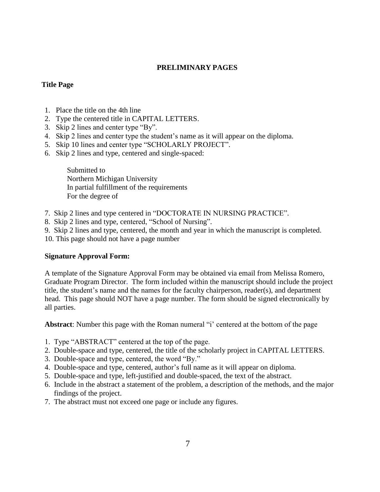# **PRELIMINARY PAGES**

### **Title Page**

- 1. Place the title on the 4th line
- 2. Type the centered title in CAPITAL LETTERS.
- 3. Skip 2 lines and center type "By".
- 4. Skip 2 lines and center type the student's name as it will appear on the diploma.
- 5. Skip 10 lines and center type "SCHOLARLY PROJECT".
- 6. Skip 2 lines and type, centered and single-spaced:

Submitted to Northern Michigan University In partial fulfillment of the requirements For the degree of

- 7. Skip 2 lines and type centered in "DOCTORATE IN NURSING PRACTICE".
- 8. Skip 2 lines and type, centered, "School of Nursing".
- 9. Skip 2 lines and type, centered, the month and year in which the manuscript is completed.
- 10. This page should not have a page number

### **Signature Approval Form:**

A template of the Signature Approval Form may be obtained via email from Melissa Romero, Graduate Program Director. The form included within the manuscript should include the project title, the student's name and the names for the faculty chairperson, reader(s), and department head. This page should NOT have a page number. The form should be signed electronically by all parties.

**Abstract**: Number this page with the Roman numeral "i' centered at the bottom of the page

- 1. Type "ABSTRACT" centered at the top of the page.
- 2. Double-space and type, centered, the title of the scholarly project in CAPITAL LETTERS.
- 3. Double-space and type, centered, the word "By."
- 4. Double-space and type, centered, author's full name as it will appear on diploma.
- 5. Double-space and type, left-justified and double-spaced, the text of the abstract.
- 6. Include in the abstract a statement of the problem, a description of the methods, and the major findings of the project.
- 7. The abstract must not exceed one page or include any figures.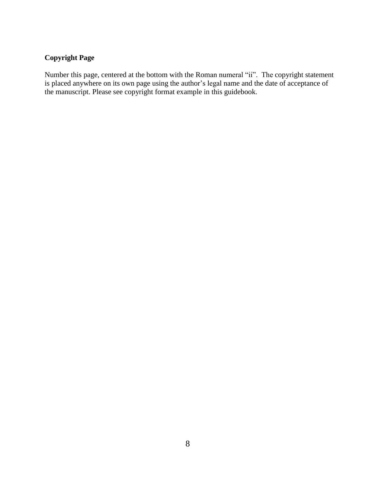# **Copyright Page**

Number this page, centered at the bottom with the Roman numeral "ii". The copyright statement is placed anywhere on its own page using the author's legal name and the date of acceptance of the manuscript. Please see copyright format example in this guidebook.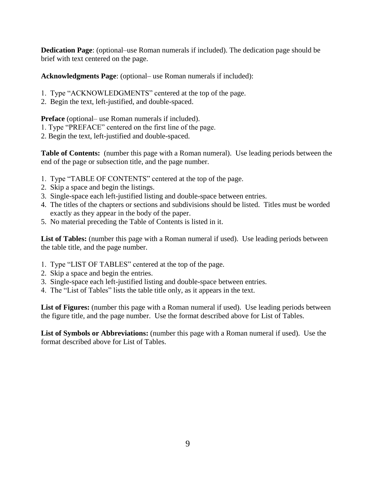**Dedication Page**: (optional–use Roman numerals if included). The dedication page should be brief with text centered on the page.

**Acknowledgments Page**: (optional– use Roman numerals if included):

- 1. Type "ACKNOWLEDGMENTS" centered at the top of the page.
- 2. Begin the text, left-justified, and double-spaced.

**Preface** (optional– use Roman numerals if included).

- 1. Type "PREFACE" centered on the first line of the page.
- 2. Begin the text, left-justified and double-spaced.

**Table of Contents:** (number this page with a Roman numeral). Use leading periods between the end of the page or subsection title, and the page number.

- 1. Type "TABLE OF CONTENTS" centered at the top of the page.
- 2. Skip a space and begin the listings.
- 3. Single-space each left-justified listing and double-space between entries.
- 4. The titles of the chapters or sections and subdivisions should be listed. Titles must be worded exactly as they appear in the body of the paper.
- 5. No material preceding the Table of Contents is listed in it.

List of Tables: (number this page with a Roman numeral if used). Use leading periods between the table title, and the page number.

- 1. Type "LIST OF TABLES" centered at the top of the page.
- 2. Skip a space and begin the entries.
- 3. Single-space each left-justified listing and double-space between entries.
- 4. The "List of Tables" lists the table title only, as it appears in the text.

**List of Figures:** (number this page with a Roman numeral if used). Use leading periods between the figure title, and the page number. Use the format described above for List of Tables.

**List of Symbols or Abbreviations:** (number this page with a Roman numeral if used). Use the format described above for List of Tables.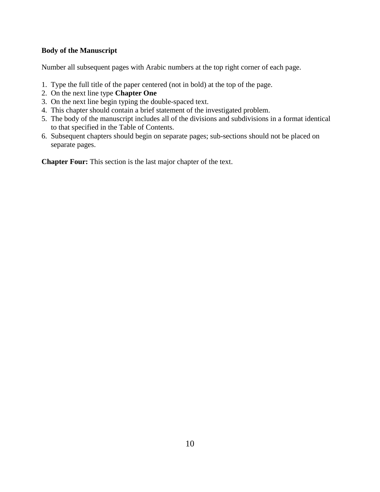# **Body of the Manuscript**

Number all subsequent pages with Arabic numbers at the top right corner of each page.

- 1. Type the full title of the paper centered (not in bold) at the top of the page.
- 2. On the next line type **Chapter One**
- 3. On the next line begin typing the double-spaced text.
- 4. This chapter should contain a brief statement of the investigated problem.
- 5. The body of the manuscript includes all of the divisions and subdivisions in a format identical to that specified in the Table of Contents.
- 6. Subsequent chapters should begin on separate pages; sub-sections should not be placed on separate pages.

**Chapter Four:** This section is the last major chapter of the text.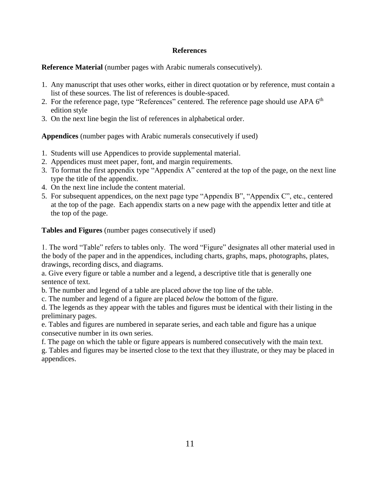# **References**

**Reference Material** (number pages with Arabic numerals consecutively).

- 1. Any manuscript that uses other works, either in direct quotation or by reference, must contain a list of these sources. The list of references is double-spaced.
- 2. For the reference page, type "References" centered. The reference page should use APA 6<sup>th</sup> edition style
- 3. On the next line begin the list of references in alphabetical order.

**Appendices** (number pages with Arabic numerals consecutively if used)

- 1. Students will use Appendices to provide supplemental material.
- 2. Appendices must meet paper, font, and margin requirements.
- 3. To format the first appendix type "Appendix A" centered at the top of the page, on the next line type the title of the appendix.
- 4. On the next line include the content material.
- 5. For subsequent appendices, on the next page type "Appendix B", "Appendix C", etc., centered at the top of the page. Each appendix starts on a new page with the appendix letter and title at the top of the page.

**Tables and Figures** (number pages consecutively if used)

1. The word "Table" refers to tables only. The word "Figure" designates all other material used in the body of the paper and in the appendices, including charts, graphs, maps, photographs, plates, drawings, recording discs, and diagrams.

a. Give every figure or table a number and a legend, a descriptive title that is generally one sentence of text.

b. The number and legend of a table are placed *above* the top line of the table.

c. The number and legend of a figure are placed *below* the bottom of the figure.

d. The legends as they appear with the tables and figures must be identical with their listing in the preliminary pages.

e. Tables and figures are numbered in separate series, and each table and figure has a unique consecutive number in its own series.

f. The page on which the table or figure appears is numbered consecutively with the main text.

g. Tables and figures may be inserted close to the text that they illustrate, or they may be placed in appendices.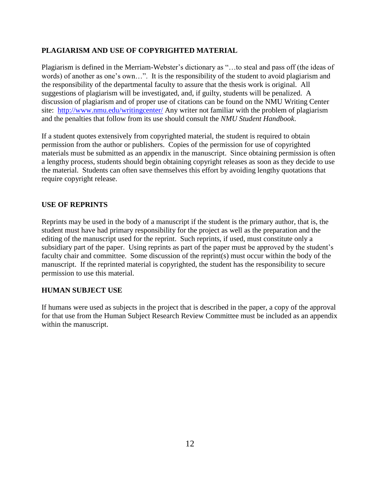# **PLAGIARISM AND USE OF COPYRIGHTED MATERIAL**

Plagiarism is defined in the Merriam-Webster's dictionary as "…to steal and pass off (the ideas of words) of another as one's own…". It is the responsibility of the student to avoid plagiarism and the responsibility of the departmental faculty to assure that the thesis work is original. All suggestions of plagiarism will be investigated, and, if guilty, students will be penalized. A discussion of plagiarism and of proper use of citations can be found on the NMU Writing Center site: <http://www.nmu.edu/writingcenter/> Any writer not familiar with the problem of plagiarism and the penalties that follow from its use should consult the *NMU Student Handbook*.

If a student quotes extensively from copyrighted material, the student is required to obtain permission from the author or publishers. Copies of the permission for use of copyrighted materials must be submitted as an appendix in the manuscript. Since obtaining permission is often a lengthy process, students should begin obtaining copyright releases as soon as they decide to use the material. Students can often save themselves this effort by avoiding lengthy quotations that require copyright release.

# **USE OF REPRINTS**

Reprints may be used in the body of a manuscript if the student is the primary author, that is, the student must have had primary responsibility for the project as well as the preparation and the editing of the manuscript used for the reprint. Such reprints, if used, must constitute only a subsidiary part of the paper. Using reprints as part of the paper must be approved by the student's faculty chair and committee. Some discussion of the reprint(s) must occur within the body of the manuscript. If the reprinted material is copyrighted, the student has the responsibility to secure permission to use this material.

### **HUMAN SUBJECT USE**

If humans were used as subjects in the project that is described in the paper, a copy of the approval for that use from the Human Subject Research Review Committee must be included as an appendix within the manuscript.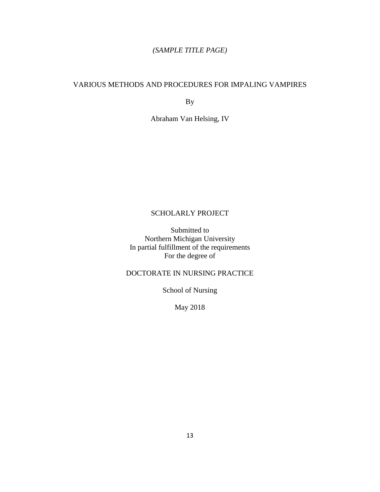# *(SAMPLE TITLE PAGE)*

#### VARIOUS METHODS AND PROCEDURES FOR IMPALING VAMPIRES

By

Abraham Van Helsing, IV

# SCHOLARLY PROJECT

Submitted to Northern Michigan University In partial fulfillment of the requirements For the degree of

# DOCTORATE IN NURSING PRACTICE

School of Nursing

May 2018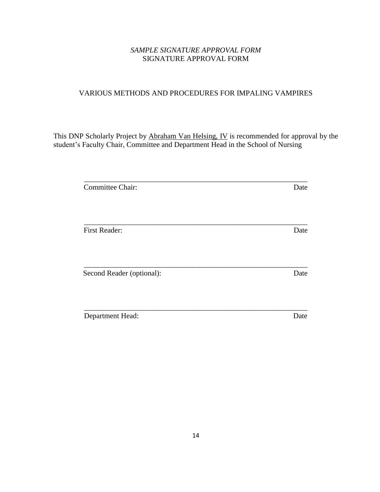# *SAMPLE SIGNATURE APPROVAL FORM* SIGNATURE APPROVAL FORM

# VARIOUS METHODS AND PROCEDURES FOR IMPALING VAMPIRES

This DNP Scholarly Project by Abraham Van Helsing, IV is recommended for approval by the student's Faculty Chair, Committee and Department Head in the School of Nursing

| <b>Committee Chair:</b>   | Date |
|---------------------------|------|
|                           |      |
| <b>First Reader:</b>      | Date |
| Second Reader (optional): | Date |
| Department Head:          | Date |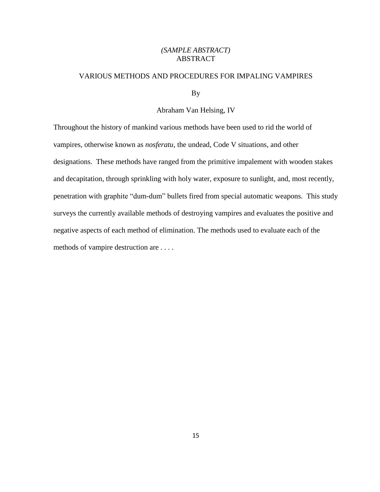#### *(SAMPLE ABSTRACT)* ABSTRACT

#### VARIOUS METHODS AND PROCEDURES FOR IMPALING VAMPIRES

By

#### Abraham Van Helsing, IV

Throughout the history of mankind various methods have been used to rid the world of vampires, otherwise known as *nosferatu*, the undead, Code V situations, and other designations. These methods have ranged from the primitive impalement with wooden stakes and decapitation, through sprinkling with holy water, exposure to sunlight, and, most recently, penetration with graphite "dum-dum" bullets fired from special automatic weapons. This study surveys the currently available methods of destroying vampires and evaluates the positive and negative aspects of each method of elimination. The methods used to evaluate each of the methods of vampire destruction are . . . .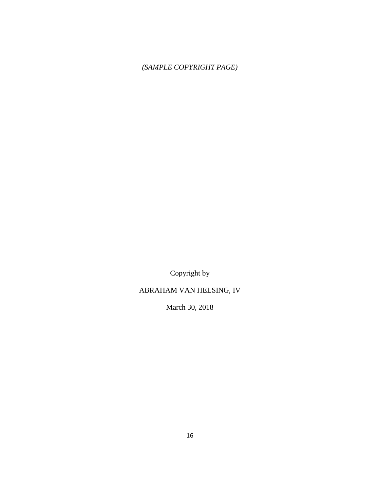# *(SAMPLE COPYRIGHT PAGE)*

Copyright by

# ABRAHAM VAN HELSING, IV

March 30, 2018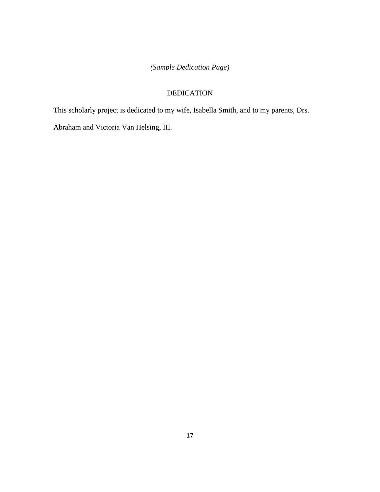# *(Sample Dedication Page)*

# DEDICATION

This scholarly project is dedicated to my wife, Isabella Smith, and to my parents, Drs.

Abraham and Victoria Van Helsing, III.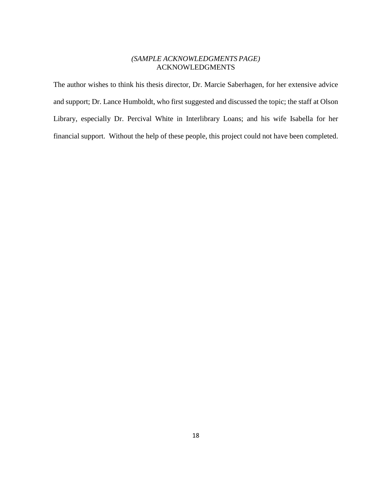#### *(SAMPLE ACKNOWLEDGMENTS PAGE)* ACKNOWLEDGMENTS

The author wishes to think his thesis director, Dr. Marcie Saberhagen, for her extensive advice and support; Dr. Lance Humboldt, who first suggested and discussed the topic; the staff at Olson Library, especially Dr. Percival White in Interlibrary Loans; and his wife Isabella for her financial support. Without the help of these people, this project could not have been completed.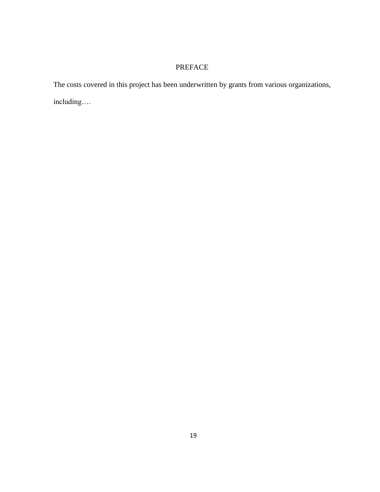# PREFACE

The costs covered in this project has been underwritten by grants from various organizations, including….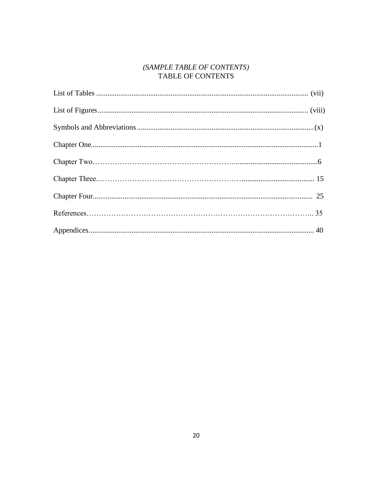# $(SAMPLE\ TABLE\ OF\ CONTENTS)\label{thm:ex1}$  TABLE OF CONTENTS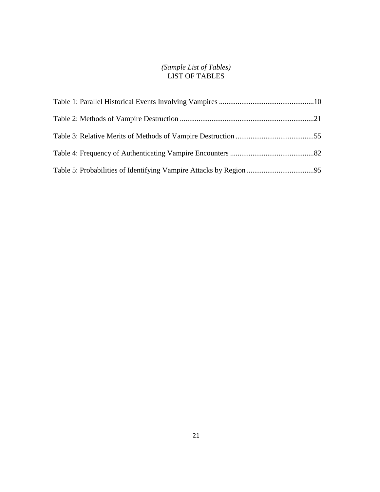#### *(Sample List of Tables)* LIST OF TABLES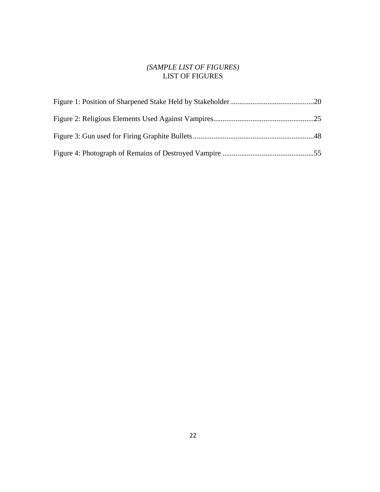# *(SAMPLE LIST OF FIGURES)* LIST OF FIGURES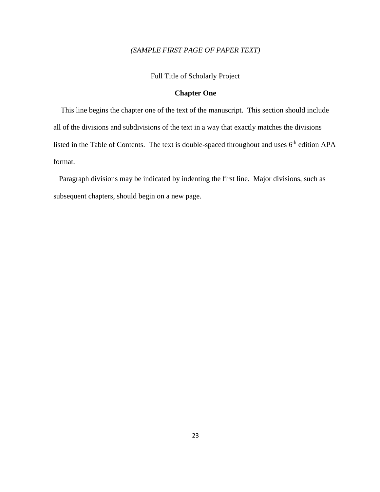# *(SAMPLE FIRST PAGE OF PAPER TEXT)*

Full Title of Scholarly Project

#### **Chapter One**

 This line begins the chapter one of the text of the manuscript. This section should include all of the divisions and subdivisions of the text in a way that exactly matches the divisions listed in the Table of Contents. The text is double-spaced throughout and uses  $6<sup>th</sup>$  edition APA format.

 Paragraph divisions may be indicated by indenting the first line. Major divisions, such as subsequent chapters, should begin on a new page.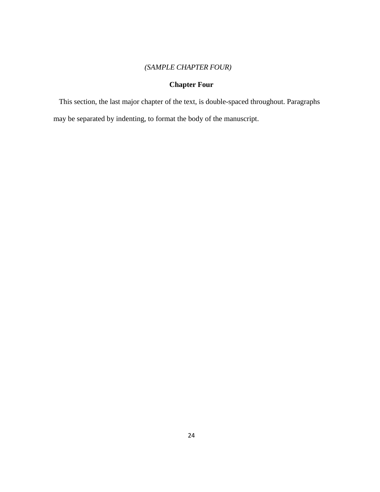# *(SAMPLE CHAPTER FOUR)*

# **Chapter Four**

 This section, the last major chapter of the text, is double-spaced throughout. Paragraphs may be separated by indenting, to format the body of the manuscript.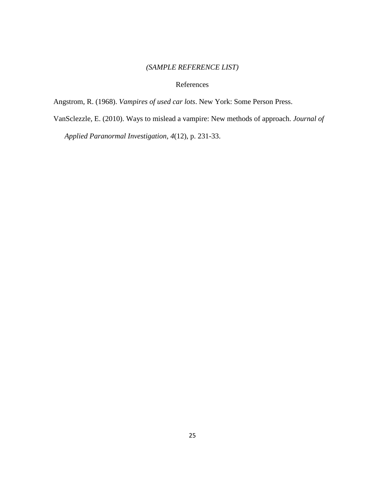# *(SAMPLE REFERENCE LIST)*

#### References

Angstrom, R. (1968). *Vampires of used car lots*. New York: Some Person Press.

VanSclezzle, E. (2010). Ways to mislead a vampire: New methods of approach. *Journal of* 

 *Applied Paranormal Investigation, 4*(12), p. 231-33.